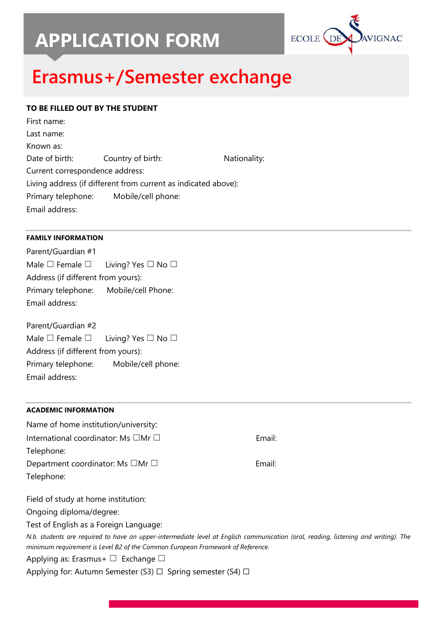# **APPLICATION FORM**



## **Erasmus+/Semester exchange**

## **TO BE FILLED OUT BY THE STUDENT**

| Nationality:                                                                                                                                                    |
|-----------------------------------------------------------------------------------------------------------------------------------------------------------------|
|                                                                                                                                                                 |
|                                                                                                                                                                 |
|                                                                                                                                                                 |
|                                                                                                                                                                 |
| Country of birth:<br>Current correspondence address:<br>Living address (if different from current as indicated above):<br>Primary telephone: Mobile/cell phone: |

## **FAMILY INFORMATION**

Parent/Guardian #1 Male  $\Box$  Female  $\Box$  Living? Yes  $\Box$  No  $\Box$ Address (if different from yours): Primary telephone: Mobile/cell Phone: Email address:

Parent/Guardian #2 Male  $\Box$  Female  $\Box$  Living? Yes  $\Box$  No  $\Box$ Address (if different from yours): Primary telephone: Mobile/cell phone: Email address:

## **ACADEMIC INFORMATION**

| Name of home institution/university:                                                                                                                                                                                                                                   |        |
|------------------------------------------------------------------------------------------------------------------------------------------------------------------------------------------------------------------------------------------------------------------------|--------|
| International coordinator: Ms $\square$ Mr $\square$                                                                                                                                                                                                                   | Email: |
| Telephone:                                                                                                                                                                                                                                                             |        |
| Department coordinator: Ms $\Box$ Mr $\Box$                                                                                                                                                                                                                            | Email: |
| Telephone:                                                                                                                                                                                                                                                             |        |
| Field of study at home institution:                                                                                                                                                                                                                                    |        |
| Ongoing diploma/degree:                                                                                                                                                                                                                                                |        |
| Test of English as a Foreign Language:                                                                                                                                                                                                                                 |        |
| N.b. students are required to have an upper-intermediate level at English communication (oral, reading, listening and writing). The<br>minimum requirement is Level B2 of the Common European Framework of Reference.<br>Applying as: Erasmus + $\Box$ Exchange $\Box$ |        |
| Applying for: Autumn Semester (S3) $\Box$ Spring semester (S4) $\Box$                                                                                                                                                                                                  |        |
|                                                                                                                                                                                                                                                                        |        |